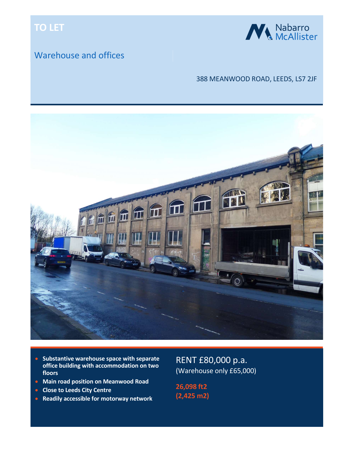# TO LET

## Warehouse and offices



### 388 MEANWOOD ROAD, LEEDS, LS7 2JF



- Substantive warehouse space with separate office building with accommodation on two floors
- **Main road position on Meanwood Road**
- **Close to Leeds City Centre**
- **Readily accessible for motorway network**

RENT £80,000 p.a. (Warehouse only £65,000)

26,098 ft2 (2,425 m2)